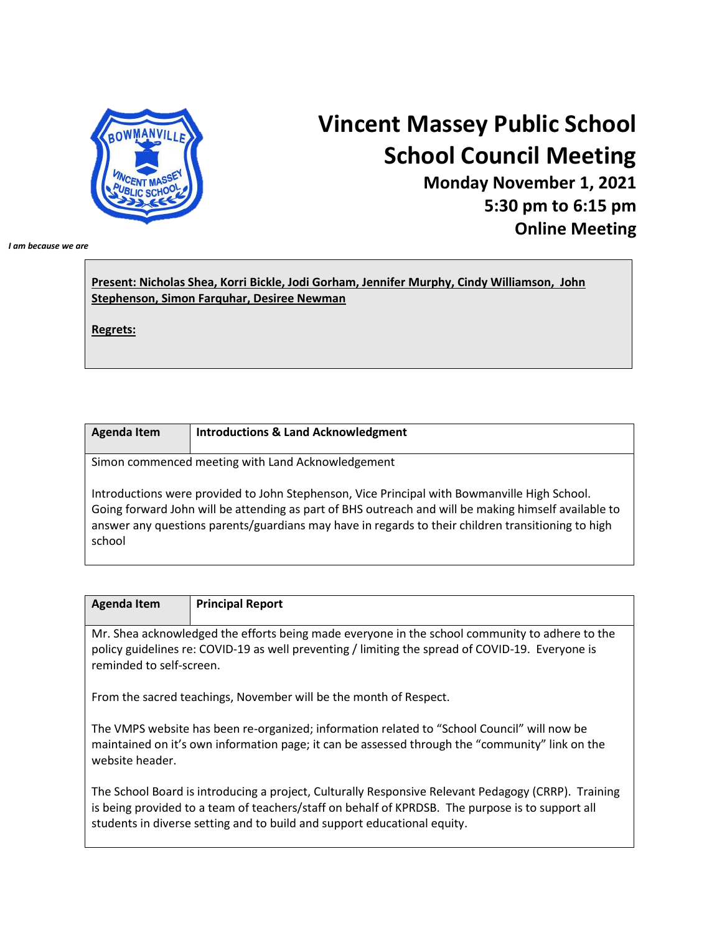

## **Vincent Massey Public School School Council Meeting**

**Monday November 1, 2021 5:30 pm to 6:15 pm Online Meeting**

*I am because we are*

| Present: Nicholas Shea, Korri Bickle, Jodi Gorham, Jennifer Murphy, Cindy Williamson, John |  |
|--------------------------------------------------------------------------------------------|--|
| Stephenson, Simon Farquhar, Desiree Newman                                                 |  |

**Regrets:**

school

| <b>Agenda Item</b> | <b>Introductions &amp; Land Acknowledgment</b>                                                                                                                                                                                                                                                             |
|--------------------|------------------------------------------------------------------------------------------------------------------------------------------------------------------------------------------------------------------------------------------------------------------------------------------------------------|
|                    | Simon commenced meeting with Land Acknowledgement                                                                                                                                                                                                                                                          |
|                    | Introductions were provided to John Stephenson, Vice Principal with Bowmanville High School.<br>Going forward John will be attending as part of BHS outreach and will be making himself available to<br>answer any questions parents/guardians may have in regards to their children transitioning to high |

| <b>Agenda Item</b>       | <b>Principal Report</b>                                                                                                                                                                            |
|--------------------------|----------------------------------------------------------------------------------------------------------------------------------------------------------------------------------------------------|
| reminded to self-screen. | Mr. Shea acknowledged the efforts being made everyone in the school community to adhere to the<br>policy guidelines re: COVID-19 as well preventing / limiting the spread of COVID-19. Everyone is |

From the sacred teachings, November will be the month of Respect.

The VMPS website has been re-organized; information related to "School Council" will now be maintained on it's own information page; it can be assessed through the "community" link on the website header.

The School Board is introducing a project, Culturally Responsive Relevant Pedagogy (CRRP). Training is being provided to a team of teachers/staff on behalf of KPRDSB. The purpose is to support all students in diverse setting and to build and support educational equity.